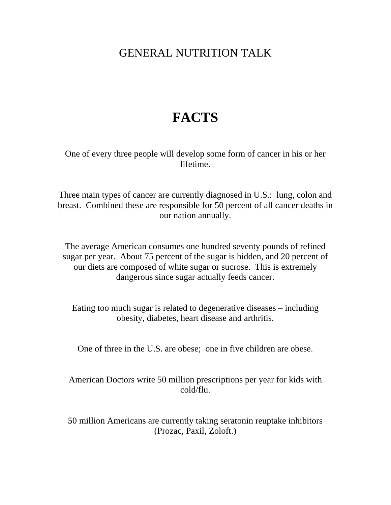## GENERAL NUTRITION TALK

## **FACTS**

One of every three people will develop some form of cancer in his or her lifetime.

Three main types of cancer are currently diagnosed in U.S.: lung, colon and breast. Combined these are responsible for 50 percent of all cancer deaths in our nation annually.

The average American consumes one hundred seventy pounds of refined sugar per year. About 75 percent of the sugar is hidden, and 20 percent of our diets are composed of white sugar or sucrose. This is extremely dangerous since sugar actually feeds cancer.

Eating too much sugar is related to degenerative diseases – including obesity, diabetes, heart disease and arthritis.

One of three in the U.S. are obese; one in five children are obese.

American Doctors write 50 million prescriptions per year for kids with cold/flu.

50 million Americans are currently taking seratonin reuptake inhibitors (Prozac, Paxil, Zoloft.)